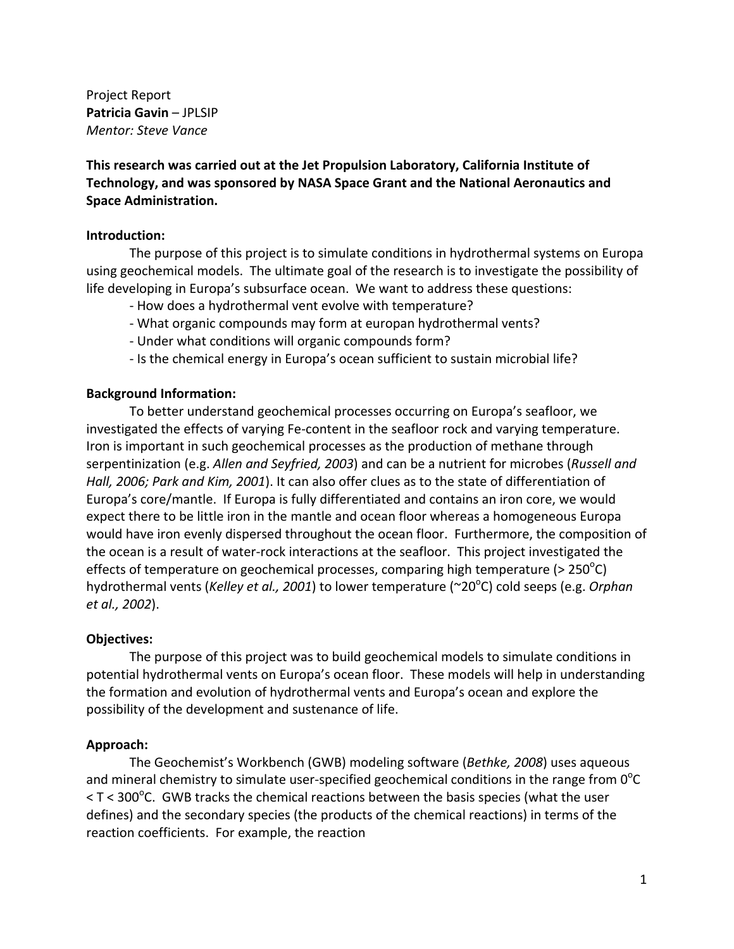Project Report **Patricia Gavin** – JPLSIP *Mentor: Steve Vance*

**This research was carried out at the Jet Propulsion Laboratory, California Institute of Technology, and was sponsored by NASA Space Grant and the National Aeronautics and Space Administration.**

## **Introduction:**

The purpose of this project is to simulate conditions in hydrothermal systems on Europa using geochemical models. The ultimate goal of the research is to investigate the possibility of life developing in Europa's subsurface ocean. We want to address these questions:

- ‐ How does a hydrothermal vent evolve with temperature?
- ‐ What organic compounds may form at europan hydrothermal vents?
- ‐ Under what conditions will organic compounds form?
- ‐ Is the chemical energy in Europa's ocean sufficient to sustain microbial life?

## **Background Information:**

To better understand geochemical processes occurring on Europa's seafloor, we investigated the effects of varying Fe‐content in the seafloor rock and varying temperature. Iron is important in such geochemical processes as the production of methane through serpentinization (e.g. *Allen and Seyfried, 2003*) and can be a nutrient for microbes (*Russell and Hall, 2006; Park and Kim, 2001*). It can also offer clues as to the state of differentiation of Europa's core/mantle. If Europa is fully differentiated and contains an iron core, we would expect there to be little iron in the mantle and ocean floor whereas a homogeneous Europa would have iron evenly dispersed throughout the ocean floor. Furthermore, the composition of the ocean is a result of water‐rock interactions at the seafloor. This project investigated the effects of temperature on geochemical processes, comparing high temperature (> 250 $^{\circ}$ C) hydrothermal vents (Kelley et al., 2001) to lower temperature (~20<sup>o</sup>C) cold seeps (e.g. Orphan *et al., 2002*).

## **Objectives:**

The purpose of this project was to build geochemical models to simulate conditions in potential hydrothermal vents on Europa's ocean floor. These models will help in understanding the formation and evolution of hydrothermal vents and Europa's ocean and explore the possibility of the development and sustenance of life.

# **Approach:**

The Geochemist's Workbench (GWB) modeling software (*Bethke, 2008*) uses aqueous and mineral chemistry to simulate user-specified geochemical conditions in the range from  $0^{\circ}$ C  $\langle$  T  $\langle$  300°C. GWB tracks the chemical reactions between the basis species (what the user defines) and the secondary species (the products of the chemical reactions) in terms of the reaction coefficients. For example, the reaction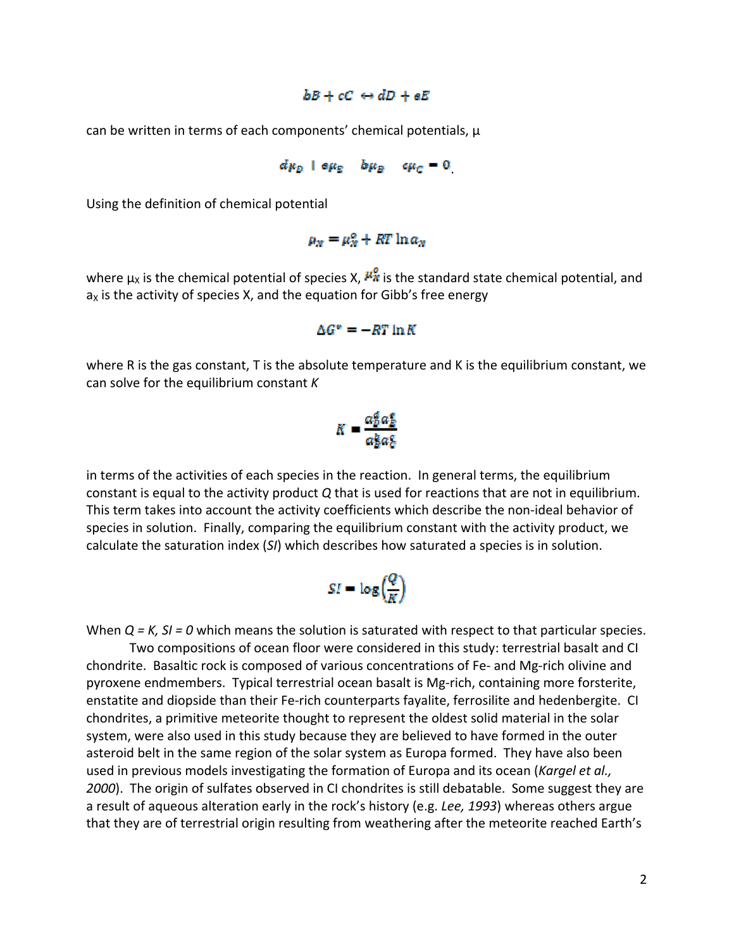#### $bB + cC \leftrightarrow dD + eE$

can be written in terms of each components' chemical potentials, μ

$$
d\mu_D + \sigma \mu_E - b\mu_B - c\mu_C = 0
$$

Using the definition of chemical potential

# $\mu_x = \mu_x^{\alpha} + RT \ln a_x$

where  $\mu_X$  is the chemical potential of species X,  $\mu_X^2$  is the standard state chemical potential, and  $a<sub>x</sub>$  is the activity of species X, and the equation for Gibb's free energy

$$
\Delta G^* = -RT \ln K
$$

where R is the gas constant, T is the absolute temperature and K is the equilibrium constant, we can solve for the equilibrium constant *K*

$$
K = \frac{a_b^a a_b^a}{a_b^b a_b^c}
$$

in terms of the activities of each species in the reaction. In general terms, the equilibrium constant is equal to the activity product *Q* that is used for reactions that are not in equilibrium. This term takes into account the activity coefficients which describe the non‐ideal behavior of species in solution. Finally, comparing the equilibrium constant with the activity product, we calculate the saturation index (*SI*) which describes how saturated a species is in solution.

$$
SI=\log\Bigl(\frac{Q}{K}\Bigr)
$$

When *Q = K, SI = 0* which means the solution is saturated with respect to that particular species.

Two compositions of ocean floor were considered in this study: terrestrial basalt and CI chondrite. Basaltic rock is composed of various concentrations of Fe‐ and Mg‐rich olivine and pyroxene endmembers. Typical terrestrial ocean basalt is Mg‐rich, containing more forsterite, enstatite and diopside than their Fe-rich counterparts fayalite, ferrosilite and hedenbergite. CI chondrites, a primitive meteorite thought to represent the oldest solid material in the solar system, were also used in this study because they are believed to have formed in the outer asteroid belt in the same region of the solar system as Europa formed. They have also been used in previous models investigating the formation of Europa and its ocean (*Kargel et al., 2000*). The origin of sulfates observed in CI chondrites is still debatable. Some suggest they are a result of aqueous alteration early in the rock's history (e.g. *Lee, 1993*) whereas others argue that they are of terrestrial origin resulting from weathering after the meteorite reached Earth's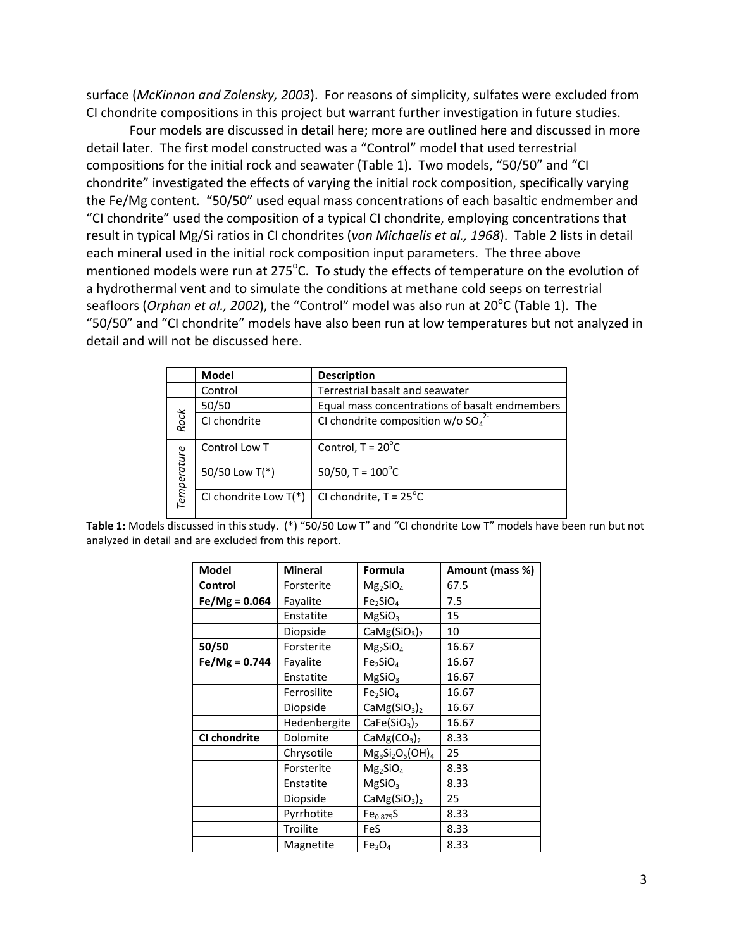surface (*McKinnon and Zolensky, 2003*). For reasons of simplicity, sulfates were excluded from CI chondrite compositions in this project but warrant further investigation in future studies.

Four models are discussed in detail here; more are outlined here and discussed in more detail later. The first model constructed was a "Control" model that used terrestrial compositions for the initial rock and seawater (Table 1). Two models, "50/50" and "CI chondrite" investigated the effects of varying the initial rock composition, specifically varying the Fe/Mg content. "50/50" used equal mass concentrations of each basaltic endmember and "CI chondrite" used the composition of a typical CI chondrite, employing concentrations that result in typical Mg/Si ratios in CI chondrites (*von Michaelis et al., 1968*). Table 2 lists in detail each mineral used in the initial rock composition input parameters. The three above mentioned models were run at 275 $^{\circ}$ C. To study the effects of temperature on the evolution of a hydrothermal vent and to simulate the conditions at methane cold seeps on terrestrial seafloors (*Orphan et al., 2002*), the "Control" model was also run at 20<sup>°</sup>C (Table 1). The "50/50" and "CI chondrite" models have also been run at low temperatures but not analyzed in detail and will not be discussed here.

|             | Model                   | <b>Description</b>                                           |
|-------------|-------------------------|--------------------------------------------------------------|
|             | Control                 | Terrestrial basalt and seawater                              |
|             | 50/50                   | Equal mass concentrations of basalt endmembers               |
| Rock        | CI chondrite            | CI chondrite composition $w/o$ SO <sub>4</sub> <sup>2-</sup> |
|             | Control Low T           | Control, $T = 20^{\circ}C$                                   |
| Temperature | 50/50 Low T(*)          | 50/50, $T = 100^{\circ}C$                                    |
|             | CI chondrite Low $T(*)$ | CI chondrite, $T = 25^{\circ}C$                              |

**Table 1:** Models discussed in this study. (\*) "50/50 Low T" and "CI chondrite Low T" models have been run but not analyzed in detail and are excluded from this report.

| <b>Model</b>    | <b>Mineral</b> | Formula                              | Amount (mass %) |
|-----------------|----------------|--------------------------------------|-----------------|
| Control         | Forsterite     | $Mg_2SiO_4$                          | 67.5            |
| $Fe/Mg = 0.064$ | Fayalite       | Fe <sub>2</sub> SiO <sub>4</sub>     | 7.5             |
|                 | Enstatite      | MgSiO <sub>3</sub>                   | 15              |
|                 | Diopside       | CaMg(SiO <sub>3</sub> ) <sub>2</sub> | 10              |
| 50/50           | Forsterite     | $Mg_2SiO_4$                          | 16.67           |
| $Fe/Mg = 0.744$ | Fayalite       | Fe <sub>2</sub> SiO <sub>4</sub>     | 16.67           |
|                 | Enstatite      | MgSiO <sub>3</sub>                   | 16.67           |
|                 | Ferrosilite    | Fe <sub>2</sub> SiO <sub>4</sub>     | 16.67           |
|                 | Diopside       | CaMg(SiO <sub>3</sub> ) <sub>2</sub> | 16.67           |
|                 | Hedenbergite   | CaFe(SiO <sub>3</sub> ) <sub>2</sub> | 16.67           |
| CI chondrite    | Dolomite       | CaMg(CO <sub>3</sub> ) <sub>2</sub>  | 8.33            |
|                 | Chrysotile     | $Mg_3Si_2O_5(OH)_4$                  | 25              |
|                 | Forsterite     | $Mg_2SiO_4$                          | 8.33            |
|                 | Enstatite      | MgSiO <sub>3</sub>                   | 8.33            |
|                 | Diopside       | CaMg(SiO <sub>3</sub> ) <sub>2</sub> | 25              |
|                 | Pyrrhotite     | $Fe_{0.875}S$                        | 8.33            |
|                 | Troilite       | FeS                                  | 8.33            |
|                 | Magnetite      | Fe <sub>3</sub> O <sub>4</sub>       | 8.33            |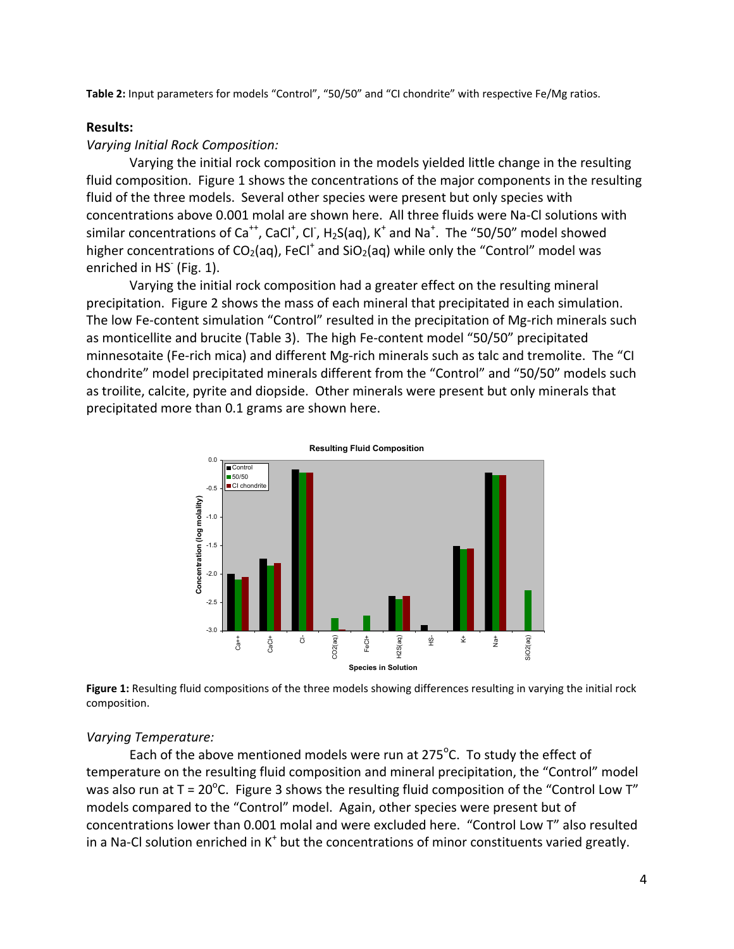**Table 2:** Input parameters for models "Control", "50/50" and "CI chondrite" with respective Fe/Mg ratios.

#### **Results:**

### *Varying Initial Rock Composition:*

Varying the initial rock composition in the models yielded little change in the resulting fluid composition. Figure 1 shows the concentrations of the major components in the resulting fluid of the three models. Several other species were present but only species with concentrations above 0.001 molal are shown here. All three fluids were Na‐Cl solutions with similar concentrations of Ca<sup>++</sup>, CaCl<sup>+</sup>, Cl<sup>-</sup>, H<sub>2</sub>S(aq), K<sup>+</sup> and Na<sup>+</sup>. The "50/50" model showed higher concentrations of  $CO<sub>2</sub>(aq)$ , FeCl<sup>+</sup> and SiO<sub>2</sub>(aq) while only the "Control" model was enriched in HS<sup>-</sup> (Fig. 1).

Varying the initial rock composition had a greater effect on the resulting mineral precipitation. Figure 2 shows the mass of each mineral that precipitated in each simulation. The low Fe-content simulation "Control" resulted in the precipitation of Mg-rich minerals such as monticellite and brucite (Table 3). The high Fe‐content model "50/50" precipitated minnesotaite (Fe-rich mica) and different Mg-rich minerals such as talc and tremolite. The "CI chondrite" model precipitated minerals different from the "Control" and "50/50" models such as troilite, calcite, pyrite and diopside. Other minerals were present but only minerals that precipitated more than 0.1 grams are shown here.



**Figure 1:** Resulting fluid compositions of the three models showing differences resulting in varying the initial rock composition.

#### *Varying Temperature:*

Each of the above mentioned models were run at 275 $\mathrm{^o}$ C. To study the effect of temperature on the resulting fluid composition and mineral precipitation, the "Control" model was also run at T = 20<sup>o</sup>C. Figure 3 shows the resulting fluid composition of the "Control Low T" models compared to the "Control" model. Again, other species were present but of concentrations lower than 0.001 molal and were excluded here. "Control Low T" also resulted in a Na-Cl solution enriched in  $K^+$  but the concentrations of minor constituents varied greatly.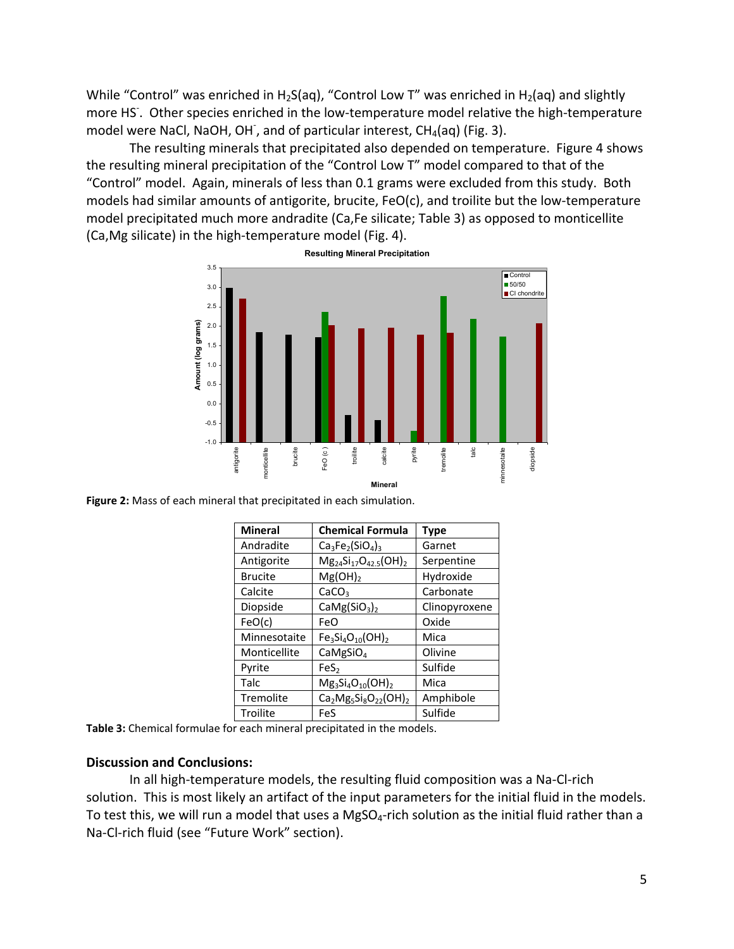While "Control" was enriched in H<sub>2</sub>S(aq), "Control Low T" was enriched in H<sub>2</sub>(aq) and slightly more HS<sup>-</sup>. Other species enriched in the low-temperature model relative the high-temperature model were NaCl, NaOH, OH<sup>-</sup>, and of particular interest, CH<sub>4</sub>(aq) (Fig. 3).

The resulting minerals that precipitated also depended on temperature. Figure 4 shows the resulting mineral precipitation of the "Control Low T" model compared to that of the "Control" model. Again, minerals of less than 0.1 grams were excluded from this study. Both models had similar amounts of antigorite, brucite, FeO(c), and troilite but the low-temperature model precipitated much more andradite (Ca,Fe silicate; Table 3) as opposed to monticellite (Ca,Mg silicate) in the high‐temperature model (Fig. 4).



**Figure 2:** Mass of each mineral that precipitated in each simulation.

| <b>Mineral</b> | <b>Chemical Formula</b>              | <b>Type</b>   |
|----------------|--------------------------------------|---------------|
| Andradite      | $Ca3Fe2(SiO4)3$                      | Garnet        |
| Antigorite     | $Mg_{24}Si_{17}O_{42.5}(OH)_{2}$     | Serpentine    |
| <b>Brucite</b> | $Mg(OH)_2$                           | Hydroxide     |
| Calcite        | CaCO <sub>3</sub>                    | Carbonate     |
| Diopside       | CaMg(SiO <sub>3</sub> ) <sub>2</sub> | Clinopyroxene |
| FeO(c)         | FeO                                  | Oxide         |
| Minnesotaite   | $Fe3Si4O10(OH)2$                     | Mica          |
| Monticellite   | CaMgSiO <sub>4</sub>                 | Olivine       |
| Pyrite         | FeS <sub>2</sub>                     | Sulfide       |
| Talc           | $Mg_3Si_4O_{10}(OH)_2$               | Mica          |
| Tremolite      | $Ca2Mg5Si8O22(OH)2$                  | Amphibole     |
| Troilite       | FeS                                  | Sulfide       |

**Table 3:** Chemical formulae for each mineral precipitated in the models.

### **Discussion and Conclusions:**

In all high‐temperature models, the resulting fluid composition was a Na‐Cl‐rich solution. This is most likely an artifact of the input parameters for the initial fluid in the models. To test this, we will run a model that uses a MgSO<sub>4</sub>-rich solution as the initial fluid rather than a Na‐Cl‐rich fluid (see "Future Work" section).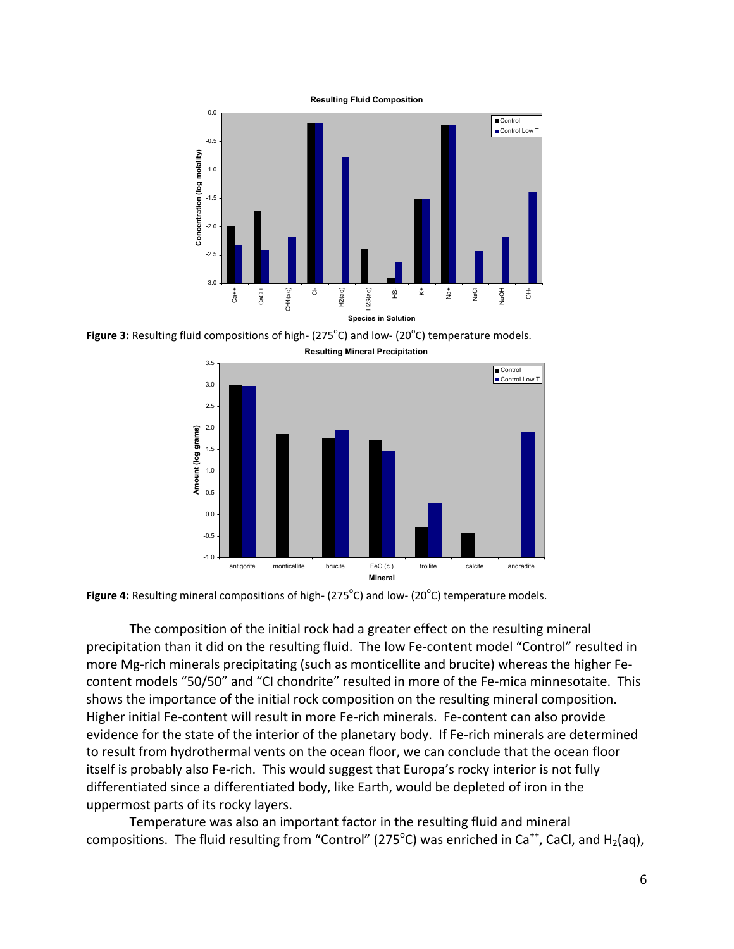

Figure 3: Resulting fluid compositions of high- (275<sup>°</sup>C) and low- (20<sup>°</sup>C) temperature models.





The composition of the initial rock had a greater effect on the resulting mineral precipitation than it did on the resulting fluid. The low Fe‐content model "Control" resulted in more Mg-rich minerals precipitating (such as monticellite and brucite) whereas the higher Fecontent models "50/50" and "CI chondrite" resulted in more of the Fe-mica minnesotaite. This shows the importance of the initial rock composition on the resulting mineral composition. Higher initial Fe-content will result in more Fe-rich minerals. Fe-content can also provide evidence for the state of the interior of the planetary body. If Fe-rich minerals are determined to result from hydrothermal vents on the ocean floor, we can conclude that the ocean floor itself is probably also Fe‐rich. This would suggest that Europa's rocky interior is not fully differentiated since a differentiated body, like Earth, would be depleted of iron in the uppermost parts of its rocky layers.

Temperature was also an important factor in the resulting fluid and mineral compositions. The fluid resulting from "Control" (275<sup>o</sup>C) was enriched in Ca<sup>++</sup>, CaCl, and H<sub>2</sub>(aq),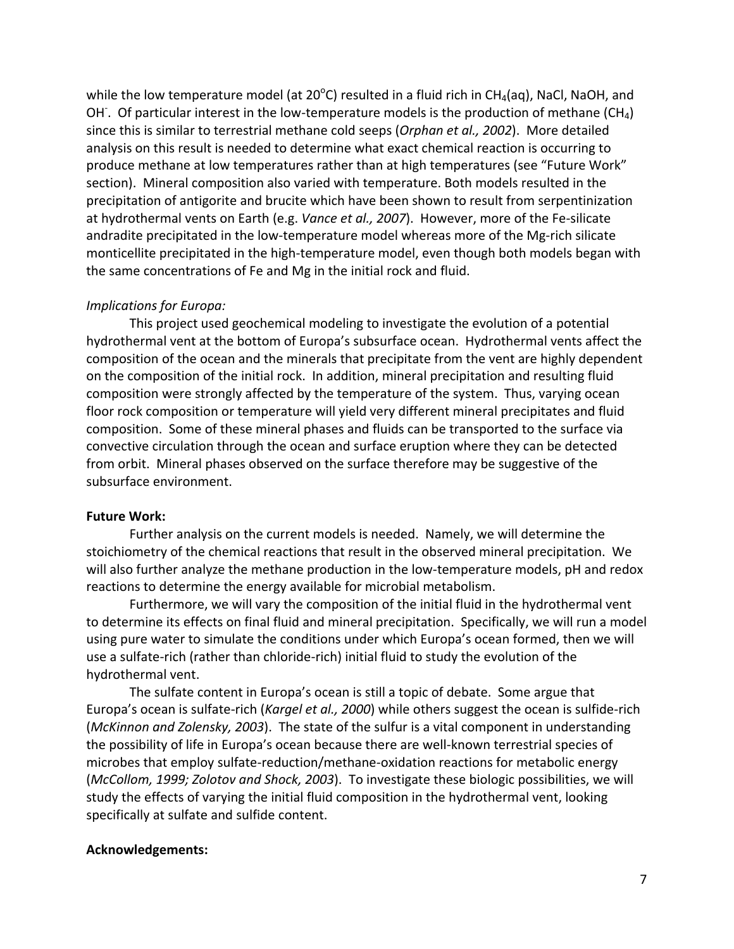while the low temperature model (at 20 $^{\circ}$ C) resulted in a fluid rich in CH<sub>4</sub>(aq), NaCl, NaOH, and OH. Of particular interest in the low-temperature models is the production of methane (CH<sub>4</sub>) since this is similar to terrestrial methane cold seeps (*Orphan et al., 2002*). More detailed analysis on this result is needed to determine what exact chemical reaction is occurring to produce methane at low temperatures rather than at high temperatures (see "Future Work" section). Mineral composition also varied with temperature. Both models resulted in the precipitation of antigorite and brucite which have been shown to result from serpentinization at hydrothermal vents on Earth (e.g. *Vance et al., 2007*). However, more of the Fe‐silicate andradite precipitated in the low-temperature model whereas more of the Mg-rich silicate monticellite precipitated in the high‐temperature model, even though both models began with the same concentrations of Fe and Mg in the initial rock and fluid.

## *Implications for Europa:*

This project used geochemical modeling to investigate the evolution of a potential hydrothermal vent at the bottom of Europa's subsurface ocean. Hydrothermal vents affect the composition of the ocean and the minerals that precipitate from the vent are highly dependent on the composition of the initial rock. In addition, mineral precipitation and resulting fluid composition were strongly affected by the temperature of the system. Thus, varying ocean floor rock composition or temperature will yield very different mineral precipitates and fluid composition. Some of these mineral phases and fluids can be transported to the surface via convective circulation through the ocean and surface eruption where they can be detected from orbit. Mineral phases observed on the surface therefore may be suggestive of the subsurface environment.

### **Future Work:**

Further analysis on the current models is needed. Namely, we will determine the stoichiometry of the chemical reactions that result in the observed mineral precipitation. We will also further analyze the methane production in the low-temperature models, pH and redox reactions to determine the energy available for microbial metabolism.

Furthermore, we will vary the composition of the initial fluid in the hydrothermal vent to determine its effects on final fluid and mineral precipitation. Specifically, we will run a model using pure water to simulate the conditions under which Europa's ocean formed, then we will use a sulfate‐rich (rather than chloride‐rich) initial fluid to study the evolution of the hydrothermal vent.

The sulfate content in Europa's ocean is still a topic of debate. Some argue that Europa's ocean is sulfate‐rich (*Kargel et al., 2000*) while others suggest the ocean is sulfide‐rich (*McKinnon and Zolensky, 2003*). The state of the sulfur is a vital component in understanding the possibility of life in Europa's ocean because there are well‐known terrestrial species of microbes that employ sulfate‐reduction/methane‐oxidation reactions for metabolic energy (*McCollom, 1999; Zolotov and Shock, 2003*). To investigate these biologic possibilities, we will study the effects of varying the initial fluid composition in the hydrothermal vent, looking specifically at sulfate and sulfide content.

### **Acknowledgements:**